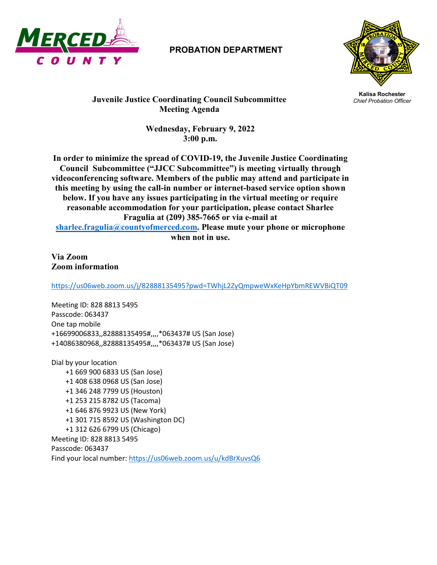

## **PROBATION DEPARTMENT**



**Kalisa Rochester Juvenile Justice Coordinating Council Subcommittee** *Chief Probation Officer* **Meeting Agenda**

> **Wednesday, February 9, 2022 3:00 p.m.**

**In order to minimize the spread of COVID-19, the Juvenile Justice Coordinating Council Subcommittee ("JJCC Subcommittee") is meeting virtually through videoconferencing software. Members of the public may attend and participate in this meeting by using the call-in number or internet-based service option shown below. If you have any issues participating in the virtual meeting or require reasonable accommodation for your participation, please contact Sharlee Fragulia at (209) 385-7665 or via e-mail at [sharlee.fragulia@countyofmerced.com.](mailto:sharlee.fragulia@countyofmerced.com) Please mute your phone or microphone when not in use.**

**Via Zoom Zoom information**

<https://us06web.zoom.us/j/82888135495?pwd=TWhjL2ZyQmpweWxKeHpYbmREWVBiQT09>

Meeting ID: 828 8813 5495 Passcode: 063437 One tap mobile +16699006833,,82888135495#,,,,\*063437# US (San Jose) +14086380968,,82888135495#,,,,\*063437# US (San Jose)

Dial by your location +1 669 900 6833 US (San Jose) +1 408 638 0968 US (San Jose) +1 346 248 7799 US (Houston) +1 253 215 8782 US (Tacoma) +1 646 876 9923 US (New York) +1 301 715 8592 US (Washington DC) +1 312 626 6799 US (Chicago) Meeting ID: 828 8813 5495 Passcode: 063437 Find your local number[: https://us06web.zoom.us/u/kdBrXuvsQ6](https://us06web.zoom.us/u/kdBrXuvsQ6)